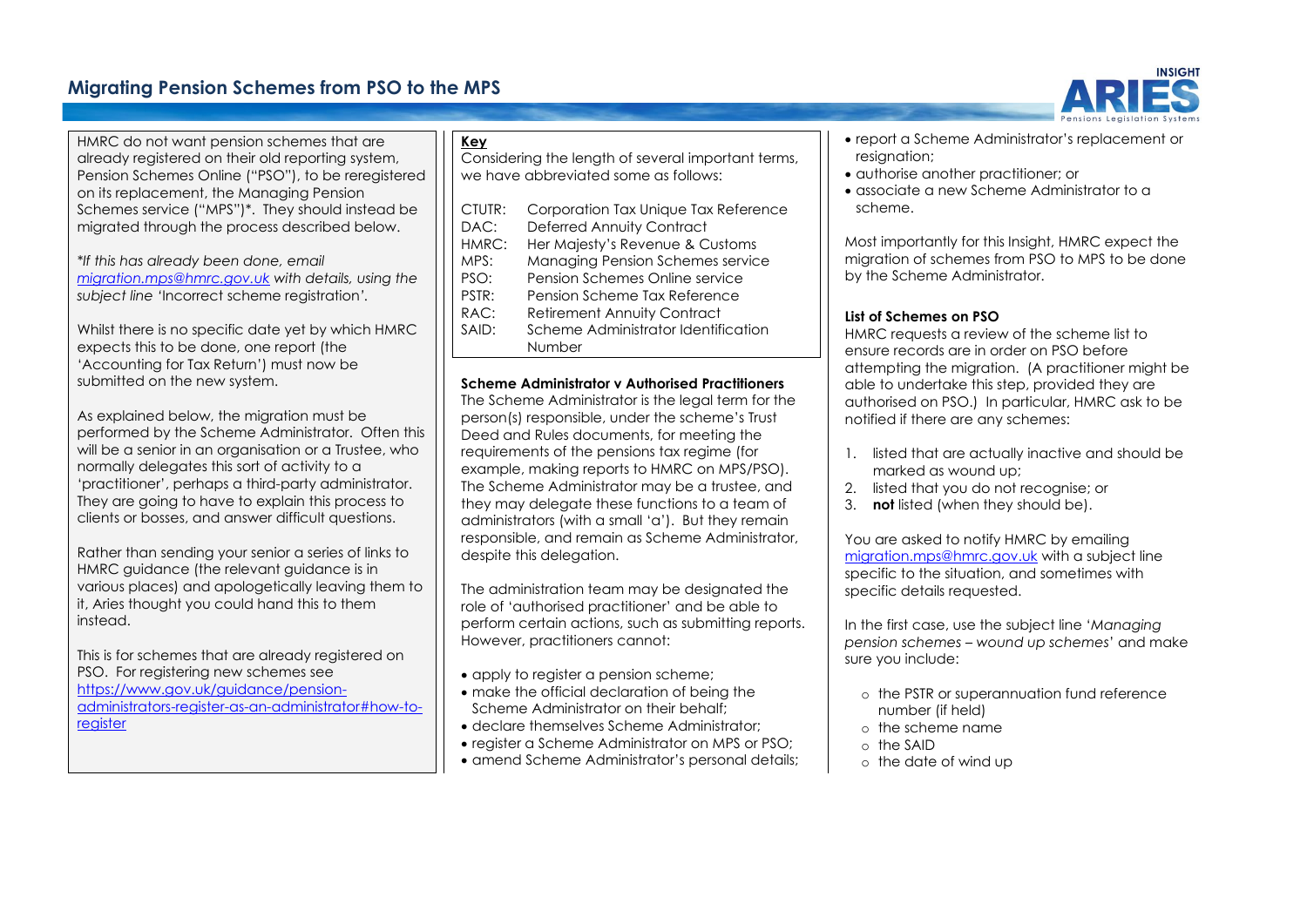# **Migrating Pension Schemes from PSO to the MPS**

HMRC do not want pension schemes that are already registered on their old reporting system, Pension Schemes Online ("PSO"), to be reregistered on its replacement, the Managing Pension Schemes service ("MPS")\*. They should instead be migrated through the process described below.

*\*If this has already been done, email [migration.mps@hmrc.gov.uk](mailto:migration.mps@hmrc.gov.uk) with details, using the subject line '*Incorrect scheme registration*'.*

Whilst there is no specific date yet by which HMRC expects this to be done, one report (the 'Accounting for Tax Return') must now be submitted on the new system.

As explained below, the migration must be performed by the Scheme Administrator. Often this will be a senior in an organisation or a Trustee, who normally delegates this sort of activity to a 'practitioner', perhaps a third-party administrator. They are going to have to explain this process to clients or bosses, and answer difficult questions.

Rather than sending your senior a series of links to HMRC guidance (the relevant guidance is in various places) and apologetically leaving them to it, Aries thought you could hand this to them instead.

This is for schemes that are already registered on PSO. For registering new schemes see [https://www.gov.uk/guidance/pension](https://www.gov.uk/guidance/pension-administrators-register-as-an-administrator#how-to-register)[administrators-register-as-an-administrator#how-to](https://www.gov.uk/guidance/pension-administrators-register-as-an-administrator#how-to-register)[register](https://www.gov.uk/guidance/pension-administrators-register-as-an-administrator#how-to-register)

### **Key**

Considering the length of several important terms, we have abbreviated some as follows:

| CTUTR:<br>DAC: | Corporation Tax Unique Tax Reference<br><b>Deferred Annuity Contract</b> |
|----------------|--------------------------------------------------------------------------|
| HMRC:          | Her Majesty's Revenue & Customs                                          |
|                |                                                                          |
| MPS:           | Managing Pension Schemes service                                         |
| PSO:           | Pension Schemes Online service                                           |
| PSTR:          | Pension Scheme Tax Reference                                             |
| RAC:           | <b>Retirement Annuity Contract</b>                                       |
| SAID:          | Scheme Administrator Identification                                      |
|                | Number                                                                   |

#### **Scheme Administrator v Authorised Practitioners**

The Scheme Administrator is the legal term for the person(s) responsible, under the scheme's Trust Deed and Rules documents, for meeting the requirements of the pensions tax regime (for example, making reports to HMRC on MPS/PSO). The Scheme Administrator may be a trustee, and they may delegate these functions to a team of administrators (with a small 'a'). But they remain responsible, and remain as Scheme Administrator, despite this delegation.

The administration team may be designated the role of 'authorised practitioner' and be able to perform certain actions, such as submitting reports. However, practitioners cannot:

- apply to register a pension scheme;
- make the official declaration of being the Scheme Administrator on their behalf;
- declare themselves Scheme Administrator;
- register a Scheme Administrator on MPS or PSO;
- amend Scheme Administrator's personal details;
- report a Scheme Administrator's replacement or resignation:
- authorise another practitioner; or
- associate a new Scheme Administrator to a scheme.

Most importantly for this Insight, HMRC expect the migration of schemes from PSO to MPS to be done by the Scheme Administrator.

### **List of Schemes on PSO**

HMRC requests a review of the scheme list to ensure records are in order on PSO before attempting the migration. (A practitioner might be able to undertake this step, provided they are authorised on PSO.) In particular, HMRC ask to be notified if there are any schemes:

- 1. listed that are actually inactive and should be marked as wound up;
- 2. listed that you do not recognise; or
- 3. **not** listed (when they should be).

You are asked to notify HMRC by emailing [migration.mps@hmrc.gov.uk](mailto:migration.mps@hmrc.gov.uk) with a subject line specific to the situation, and sometimes with specific details requested.

In the first case, use the subject line '*Managing pension schemes – wound up schemes*' and make sure you include:

- o the PSTR or superannuation fund reference number (if held)
- o the scheme name
- o the SAID
- o the date of wind up

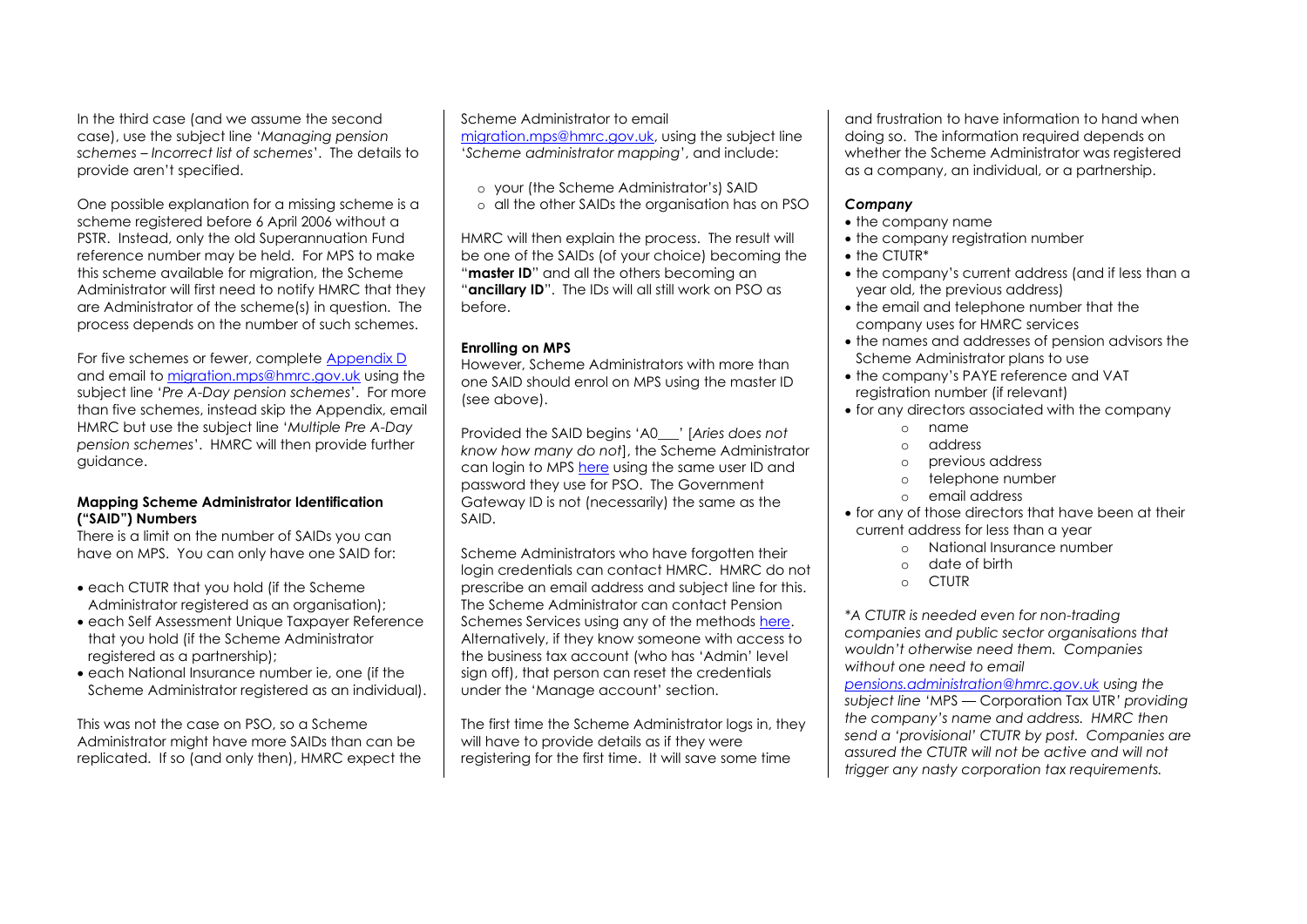In the third case (and we assume the second case), use the subject line '*Managing pension schemes – Incorrect list of schemes*'. The details to provide aren't specified.

One possible explanation for a missing scheme is a scheme registered before 6 April 2006 without a PSTR. Instead, only the old Superannuation Fund reference number may be held. For MPS to make this scheme available for migration, the Scheme Administrator will first need to notify HMRC that they are Administrator of the scheme(s) in question. The process depends on the number of such schemes.

For five schemes or fewer, complete [Appendix D](https://www.gov.uk/government/publications/managing-pension-schemes-service-newsletter-march-2021) and email to [migration.mps@hmrc.gov.uk](mailto:migration.mps@hmrc.gov.uk) using the subject line '*Pre A-Day pension schemes*'. For more than five schemes, instead skip the Appendix, email HMRC but use the subject line '*Multiple Pre A-Day pension schemes*'. HMRC will then provide further guidance.

### **Mapping Scheme Administrator Identification ("SAID") Numbers**

There is a limit on the number of SAIDs you can have on MPS. You can only have one SAID for:

- each CTUTR that you hold (if the Scheme Administrator registered as an organisation);
- each Self Assessment Unique Taxpayer Reference that you hold (if the Scheme Administrator registered as a partnership);
- each National Insurance number ie, one (if the Scheme Administrator registered as an individual).

This was not the case on PSO, so a Scheme Administrator might have more SAIDs than can be replicated. If so (and only then), HMRC expect the

### Scheme Administrator to email

[migration.mps@hmrc.gov.uk,](mailto:migration.mps@hmrc.gov.uk) using the subject line '*Scheme administrator mapping*', and include:

- o your (the Scheme Administrator's) SAID
- o all the other SAIDs the organisation has on PSO

HMRC will then explain the process. The result will be one of the SAIDs (of your choice) becoming the "**master ID**" and all the others becoming an "**ancillary ID**". The IDs will all still work on PSO as before.

### **Enrolling on MPS**

However, Scheme Administrators with more than one SAID should enrol on MPS using the master ID (see above).

Provided the SAID begins 'A0\_\_\_' [*Aries does not know how many do not*], the Scheme Administrator can login to MP[S here](https://www.access.service.gov.uk/login/signin/creds) using the same user ID and password they use for PSO. The Government Gateway ID is not (necessarily) the same as the SAID.

Scheme Administrators who have forgotten their login credentials can contact HMRC. HMRC do not prescribe an email address and subject line for this. The Scheme Administrator can contact Pension Schemes Services using any of the methods [here.](https://www.gov.uk/government/organisations/hm-revenue-customs/contact/pension-scheme-enquiries) Alternatively, if they know someone with access to the business tax account (who has 'Admin' level sign off), that person can reset the credentials under the 'Manage account' section.

The first time the Scheme Administrator logs in, they will have to provide details as if they were registering for the first time. It will save some time

and frustration to have information to hand when doing so. The information required depends on whether the Scheme Administrator was registered as a company, an individual, or a partnership.

### *Company*

- the company name
- the company registration number
- the CTUTR\*
- the company's current address (and if less than a year old, the previous address)
- the email and telephone number that the company uses for HMRC services
- the names and addresses of pension advisors the Scheme Administrator plans to use
- the company's PAYE reference and VAT registration number (if relevant)
- for any directors associated with the company
	- o name
	- o address
	- o previous address
	- o telephone number
	- o email address
- for any of those directors that have been at their current address for less than a year
	- o National Insurance number
	- o date of birth
	- o CTUTR

*\*A CTUTR is needed even for non-trading companies and public sector organisations that wouldn't otherwise need them. Companies without one need to email* 

*[pensions.administration@hmrc.gov.uk](mailto:pensions.administration@hmrc.gov.uk) using the subject line '*MPS — Corporation Tax UTR*' providing the company's name and address. HMRC then send a 'provisional' CTUTR by post. Companies are assured the CTUTR will not be active and will not trigger any nasty corporation tax requirements.*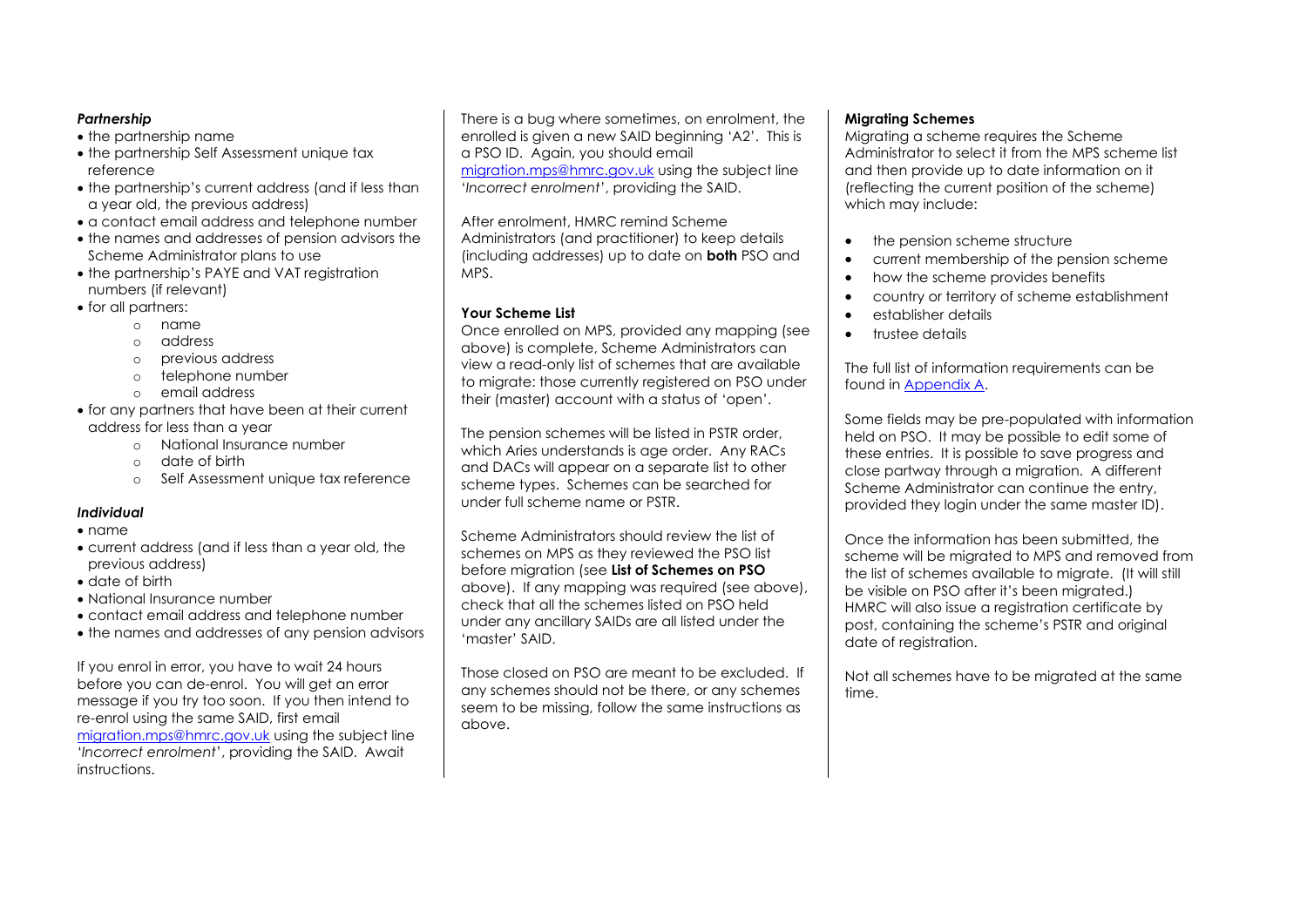### *Partnership*

- the partnership name
- the partnership Self Assessment unique tax reference
- the partnership's current address (and if less than a year old, the previous address)
- a contact email address and telephone number
- the names and addresses of pension advisors the Scheme Administrator plans to use
- the partnership's PAYE and VAT registration numbers (if relevant)
- for all partners:
	- o name
	- o address
	- o previous address
	- o telephone number
	- o email address
- for any partners that have been at their current address for less than a year
	- o National Insurance number
	- o date of birth
	- o Self Assessment unique tax reference

## *Individual*

- name
- current address (and if less than a year old, the previous address)
- date of birth
- National Insurance number
- contact email address and telephone number
- the names and addresses of any pension advisors

If you enrol in error, you have to wait 24 hours before you can de-enrol. You will get an error message if you try too soon. If you then intend to re-enrol using the same SAID, first email [migration.mps@hmrc.gov.uk](mailto:migration.mps@hmrc.gov.uk) using the subject line '*Incorrect enrolment*', providing the SAID. Await instructions.

There is a bug where sometimes, on enrolment, the enrolled is given a new SAID beginning 'A2'. This is a PSO ID. Again, you should email [migration.mps@hmrc.gov.uk](mailto:migration.mps@hmrc.gov.uk) using the subject line '*Incorrect enrolment*', providing the SAID.

After enrolment, HMRC remind Scheme Administrators (and practitioner) to keep details (including addresses) up to date on **both** PSO and MPS.

# **Your Scheme List**

Once enrolled on MPS, provided any mapping (see above) is complete, Scheme Administrators can view a read-only list of schemes that are available to migrate: those currently registered on PSO under their (master) account with a status of 'open'.

The pension schemes will be listed in PSTR order, which Aries understands is age order. Any RACs and DACs will appear on a separate list to other scheme types. Schemes can be searched for under full scheme name or PSTR.

Scheme Administrators should review the list of schemes on MPS as they reviewed the PSO list before migration (see **List of Schemes on PSO** above). If any mapping was required (see above), check that all the schemes listed on PSO held under any ancillary SAIDs are all listed under the 'master' SAID.

Those closed on PSO are meant to be excluded. If any schemes should not be there, or any schemes seem to be missing, follow the same instructions as above.

### **Migrating Schemes**

Migrating a scheme requires the Scheme Administrator to select it from the MPS scheme list and then provide up to date information on it (reflecting the current position of the scheme) which may include:

- the pension scheme structure
- current membership of the pension scheme
- how the scheme provides benefits
- country or territory of scheme establishment
- establisher details
- trustee details

The full list of information requirements can be found in [Appendix A.](https://assets.publishing.service.gov.uk/government/uploads/system/uploads/attachment_data/file/1067713/Newsletter-Appendix-Information-required-for-migration.odt)

Some fields may be pre-populated with information held on PSO. It may be possible to edit some of these entries. It is possible to save progress and close partway through a migration. A different Scheme Administrator can continue the entry, provided they login under the same master ID).

Once the information has been submitted, the scheme will be migrated to MPS and removed from the list of schemes available to migrate. (It will still be visible on PSO after it's been migrated.) HMRC will also issue a registration certificate by post, containing the scheme's PSTR and original date of reaistration.

Not all schemes have to be migrated at the same time.